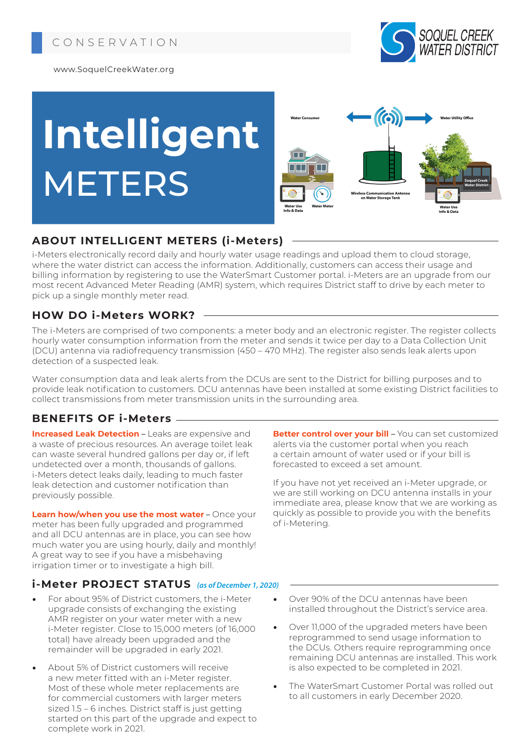

www.SoquelCreekWater.org

# **Intelligent METERS**



## **ABOUT INTELLIGENT METERS (i-Meters)**

i-Meters electronically record daily and hourly water usage readings and upload them to cloud storage, where the water district can access the information. Additionally, customers can access their usage and billing information by registering to use the WaterSmart Customer portal. i-Meters are an upgrade from our most recent Advanced Meter Reading (AMR) system, which requires District staff to drive by each meter to pick up a single monthly meter read.

## **HOW DO i-Meters WORK?**

The i-Meters are comprised of two components: a meter body and an electronic register. The register collects hourly water consumption information from the meter and sends it twice per day to a Data Collection Unit (DCU) antenna via radiofrequency transmission (450 – 470 MHz). The register also sends leak alerts upon detection of a suspected leak.

Water consumption data and leak alerts from the DCUs are sent to the District for billing purposes and to provide leak notification to customers. DCU antennas have been installed at some existing District facilities to collect transmissions from meter transmission units in the surrounding area.

## **BENEFITS OF i-Meters**

**Increased Leak Detection** – Leaks are expensive and a waste of precious resources. An average toilet leak can waste several hundred gallons per day or, if left undetected over a month, thousands of gallons. i-Meters detect leaks daily, leading to much faster leak detection and customer notification than previously possible.

**Learn how/when you use the most water** – Once your meter has been fully upgraded and programmed and all DCU antennas are in place, you can see how much water you are using hourly, daily and monthly! A great way to see if you have a misbehaving irrigation timer or to investigate a high bill.

## **i-Meter PROJECT STATUS** *(as of December 1, 2020)*

- For about 95% of District customers, the i-Meter upgrade consists of exchanging the existing AMR register on your water meter with a new i-Meter register. Close to 15,000 meters (of 16,000 total) have already been upgraded and the remainder will be upgraded in early 2021.
- About 5% of District customers will receive a new meter fitted with an i-Meter register. Most of these whole meter replacements are for commercial customers with larger meters sized 1.5 – 6 inches. District staff is just getting started on this part of the upgrade and expect to complete work in 2021.

**Better control over your bill** – You can set customized alerts via the customer portal when you reach a certain amount of water used or if your bill is forecasted to exceed a set amount.

If you have not yet received an i-Meter upgrade, or we are still working on DCU antenna installs in your immediate area, please know that we are working as quickly as possible to provide you with the benefits of i-Metering.

- Over 90% of the DCU antennas have been installed throughout the District's service area.
- Over 11,000 of the upgraded meters have been reprogrammed to send usage information to the DCUs. Others require reprogramming once remaining DCU antennas are installed. This work is also expected to be completed in 2021.
- The WaterSmart Customer Portal was rolled out to all customers in early December 2020.